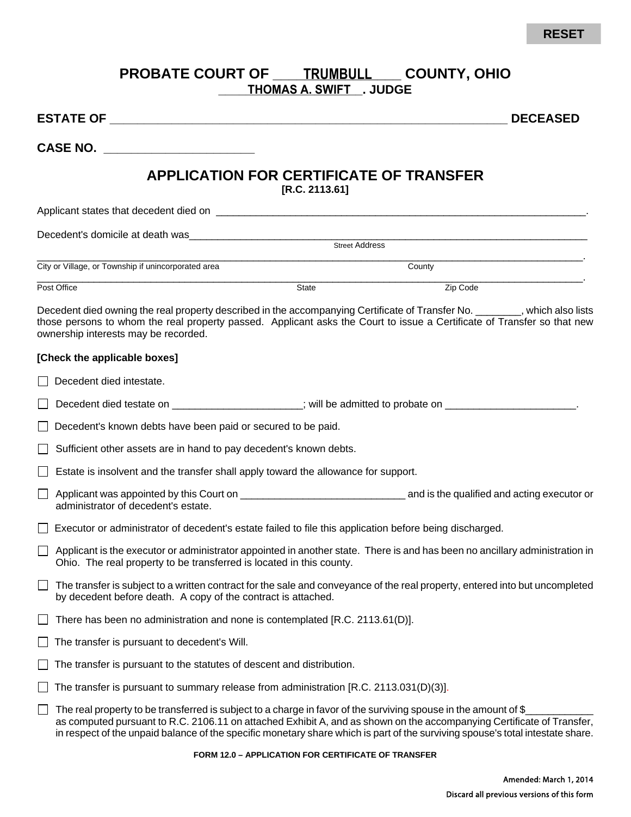## **RESET**